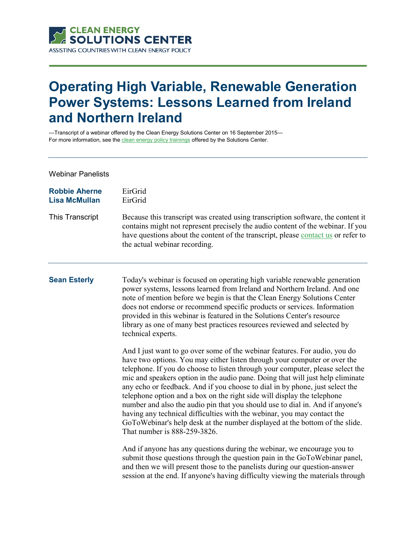

# **Operating High Variable, Renewable Generation Power Systems: Lessons Learned from Ireland and Northern Ireland**

—Transcript of a webinar offered by the Clean Energy Solutions Center on 16 September 2015— For more information, see th[e clean energy policy trainings](https://cleanenergysolutions.org/training) offered by the Solutions Center.

### Webinar Panelists

| <b>Robbie Aherne</b> | EirGrid                      |
|----------------------|------------------------------|
| <b>Lisa McMullan</b> | EirGrid                      |
| This Transcript      | Becaus<br>contain<br>have qu |

use this transcript was created using transcription software, the content it ins might not represent precisely the audio content of the webinar. If you questions about the content of the transcript, please [contact us](https://cleanenergysolutions.org/contact) or refer to the actual webinar recording.

**Sean Esterly** Today's webinar is focused on operating high variable renewable generation power systems, lessons learned from Ireland and Northern Ireland. And one note of mention before we begin is that the Clean Energy Solutions Center does not endorse or recommend specific products or services. Information provided in this webinar is featured in the Solutions Center's resource library as one of many best practices resources reviewed and selected by technical experts.

> And I just want to go over some of the webinar features. For audio, you do have two options. You may either listen through your computer or over the telephone. If you do choose to listen through your computer, please select the mic and speakers option in the audio pane. Doing that will just help eliminate any echo or feedback. And if you choose to dial in by phone, just select the telephone option and a box on the right side will display the telephone number and also the audio pin that you should use to dial in. And if anyone's having any technical difficulties with the webinar, you may contact the GoToWebinar's help desk at the number displayed at the bottom of the slide. That number is 888-259-3826.

> And if anyone has any questions during the webinar, we encourage you to submit those questions through the question pain in the GoToWebinar panel, and then we will present those to the panelists during our question-answer session at the end. If anyone's having difficulty viewing the materials through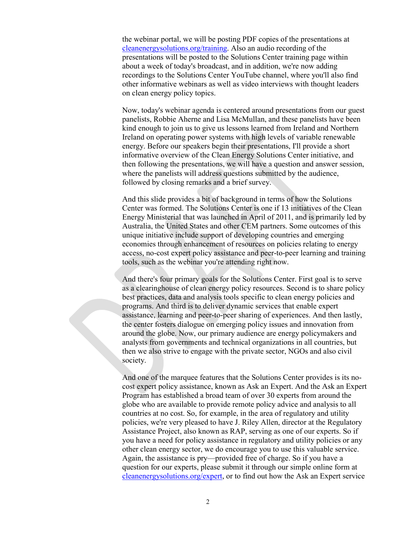the webinar portal, we will be posting PDF copies of the presentations at [cleanenergysolutions.org/training.](https://cleanenergysolutions.org/training) Also an audio recording of the presentations will be posted to the Solutions Center training page within about a week of today's broadcast, and in addition, we're now adding recordings to the Solutions Center YouTube channel, where you'll also find other informative webinars as well as video interviews with thought leaders on clean energy policy topics.

Now, today's webinar agenda is centered around presentations from our guest panelists, Robbie Aherne and Lisa McMullan, and these panelists have been kind enough to join us to give us lessons learned from Ireland and Northern Ireland on operating power systems with high levels of variable renewable energy. Before our speakers begin their presentations, I'll provide a short informative overview of the Clean Energy Solutions Center initiative, and then following the presentations, we will have a question and answer session, where the panelists will address questions submitted by the audience, followed by closing remarks and a brief survey.

And this slide provides a bit of background in terms of how the Solutions Center was formed. The Solutions Center is one if 13 initiatives of the Clean Energy Ministerial that was launched in April of 2011, and is primarily led by Australia, the United States and other CEM partners. Some outcomes of this unique initiative include support of developing countries and emerging economies through enhancement of resources on policies relating to energy access, no-cost expert policy assistance and peer-to-peer learning and training tools, such as the webinar you're attending right now.

And there's four primary goals for the Solutions Center. First goal is to serve as a clearinghouse of clean energy policy resources. Second is to share policy best practices, data and analysis tools specific to clean energy policies and programs. And third is to deliver dynamic services that enable expert assistance, learning and peer-to-peer sharing of experiences. And then lastly, the center fosters dialogue on emerging policy issues and innovation from around the globe. Now, our primary audience are energy policymakers and analysts from governments and technical organizations in all countries, but then we also strive to engage with the private sector, NGOs and also civil society.

And one of the marquee features that the Solutions Center provides is its nocost expert policy assistance, known as Ask an Expert. And the Ask an Expert Program has established a broad team of over 30 experts from around the globe who are available to provide remote policy advice and analysis to all countries at no cost. So, for example, in the area of regulatory and utility policies, we're very pleased to have J. Riley Allen, director at the Regulatory Assistance Project, also known as RAP, serving as one of our experts. So if you have a need for policy assistance in regulatory and utility policies or any other clean energy sector, we do encourage you to use this valuable service. Again, the assistance is pry—provided free of charge. So if you have a question for our experts, please submit it through our simple online form at [cleanenergysolutions.org/expert,](https://cleanenergysolutions.org/expert) or to find out how the Ask an Expert service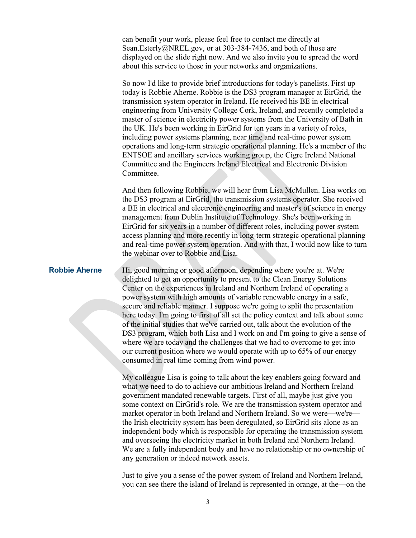can benefit your work, please feel free to contact me directly at Sean.Esterly@NREL.gov, or at 303-384-7436, and both of those are displayed on the slide right now. And we also invite you to spread the word about this service to those in your networks and organizations.

So now I'd like to provide brief introductions for today's panelists. First up today is Robbie Aherne. Robbie is the DS3 program manager at EirGrid, the transmission system operator in Ireland. He received his BE in electrical engineering from University College Cork, Ireland, and recently completed a master of science in electricity power systems from the University of Bath in the UK. He's been working in EirGrid for ten years in a variety of roles, including power systems planning, near time and real-time power system operations and long-term strategic operational planning. He's a member of the ENTSOE and ancillary services working group, the Cigre Ireland National Committee and the Engineers Ireland Electrical and Electronic Division Committee.

And then following Robbie, we will hear from Lisa McMullen. Lisa works on the DS3 program at EirGrid, the transmission systems operator. She received a BE in electrical and electronic engineering and master's of science in energy management from Dublin Institute of Technology. She's been working in EirGrid for six years in a number of different roles, including power system access planning and more recently in long-term strategic operational planning and real-time power system operation. And with that, I would now like to turn the webinar over to Robbie and Lisa.

**Robbie Aherne** Hi, good morning or good afternoon, depending where you're at. We're delighted to get an opportunity to present to the Clean Energy Solutions Center on the experiences in Ireland and Northern Ireland of operating a power system with high amounts of variable renewable energy in a safe, secure and reliable manner. I suppose we're going to split the presentation here today. I'm going to first of all set the policy context and talk about some of the initial studies that we've carried out, talk about the evolution of the DS3 program, which both Lisa and I work on and I'm going to give a sense of where we are today and the challenges that we had to overcome to get into our current position where we would operate with up to 65% of our energy consumed in real time coming from wind power.

> My colleague Lisa is going to talk about the key enablers going forward and what we need to do to achieve our ambitious Ireland and Northern Ireland government mandated renewable targets. First of all, maybe just give you some context on EirGrid's role. We are the transmission system operator and market operator in both Ireland and Northern Ireland. So we were—we're the Irish electricity system has been deregulated, so EirGrid sits alone as an independent body which is responsible for operating the transmission system and overseeing the electricity market in both Ireland and Northern Ireland. We are a fully independent body and have no relationship or no ownership of any generation or indeed network assets.

> Just to give you a sense of the power system of Ireland and Northern Ireland, you can see there the island of Ireland is represented in orange, at the—on the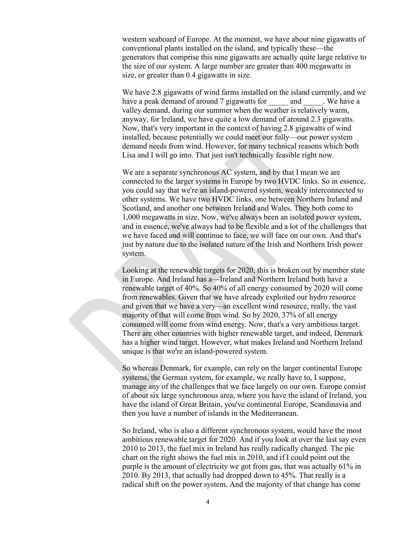western seaboard of Europe. At the moment, we have about nine gigawatts of conventional plants installed on the island, and typically these—the generators that comprise this nine gigawatts are actually quite large relative to the size of our system. A large number are greater than 400 megawatts in size, or greater than 0.4 gigawatts in size.

We have 2.8 gigawatts of wind farms installed on the island currently, and we have a peak demand of around 7 gigawatts for and We have a valley demand, during our summer when the weather is relatively warm, anyway, for Ireland, we have quite a low demand of around 2.3 gigawatts. Now, that's very important in the context of having 2.8 gigawatts of wind installed, because potentially we could meet our fully—our power system demand needs from wind. However, for many technical reasons which both Lisa and I will go into. That just isn't technically feasible right now.

We are a separate synchronous AC system, and by that I mean we are connected to the larger systems in Europe by two HVDC links. So in essence, you could say that we're an island-powered system, weakly interconnected to other systems. We have two HVDC links, one between Northern Ireland and Scotland, and another one between Ireland and Wales. They both come to 1,000 megawatts in size. Now, we've always been an isolated power system, and in essence, we've always had to be flexible and a lot of the challenges that we have faced and will continue to face, we will face on our own. And that's just by nature due to the isolated nature of the Irish and Northern Irish power system.

Looking at the renewable targets for 2020, this is broken out by member state in Europe. And Ireland has a—Ireland and Northern Ireland both have a renewable target of 40%. So 40% of all energy consumed by 2020 will come from renewables. Given that we have already exploited our hydro resource and given that we have a very—an excellent wind resource, really, the vast majority of that will come from wind. So by 2020, 37% of all energy consumed will come from wind energy. Now, that's a very ambitious target. There are other countries with higher renewable target, and indeed, Denmark has a higher wind target. However, what makes Ireland and Northern Ireland unique is that we're an island-powered system.

So whereas Denmark, for example, can rely on the larger continental Europe systems, the German system, for example, we really have to, I suppose, manage any of the challenges that we face largely on our own. Europe consist of about six large synchronous area, where you have the island of Ireland, you have the island of Great Britain, you've continental Europe, Scandinavia and then you have a number of islands in the Mediterranean.

So Ireland, who is also a different synchronous system, would have the most ambitious renewable target for 2020. And if you look at over the last say even 2010 to 2013, the fuel mix in Ireland has really radically changed. The pie chart on the right shows the fuel mix in 2010, and if I could point out the purple is the amount of electricity we got from gas, that was actually 61% in 2010. By 2013, that actually had dropped down to 45%. That really is a radical shift on the power system. And the majority of that change has come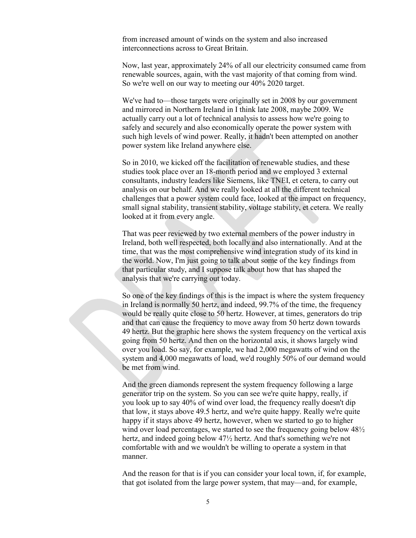from increased amount of winds on the system and also increased interconnections across to Great Britain.

Now, last year, approximately 24% of all our electricity consumed came from renewable sources, again, with the vast majority of that coming from wind. So we're well on our way to meeting our 40% 2020 target.

We've had to—those targets were originally set in 2008 by our government and mirrored in Northern Ireland in I think late 2008, maybe 2009. We actually carry out a lot of technical analysis to assess how we're going to safely and securely and also economically operate the power system with such high levels of wind power. Really, it hadn't been attempted on another power system like Ireland anywhere else.

So in 2010, we kicked off the facilitation of renewable studies, and these studies took place over an 18-month period and we employed 3 external consultants, industry leaders like Siemens, like TNEI, et cetera, to carry out analysis on our behalf. And we really looked at all the different technical challenges that a power system could face, looked at the impact on frequency, small signal stability, transient stability, voltage stability, et cetera. We really looked at it from every angle.

That was peer reviewed by two external members of the power industry in Ireland, both well respected, both locally and also internationally. And at the time, that was the most comprehensive wind integration study of its kind in the world. Now, I'm just going to talk about some of the key findings from that particular study, and I suppose talk about how that has shaped the analysis that we're carrying out today.

So one of the key findings of this is the impact is where the system frequency in Ireland is normally 50 hertz, and indeed, 99.7% of the time, the frequency would be really quite close to 50 hertz. However, at times, generators do trip and that can cause the frequency to move away from 50 hertz down towards 49 hertz. But the graphic here shows the system frequency on the vertical axis going from 50 hertz. And then on the horizontal axis, it shows largely wind over you load. So say, for example, we had 2,000 megawatts of wind on the system and 4,000 megawatts of load, we'd roughly 50% of our demand would be met from wind.

And the green diamonds represent the system frequency following a large generator trip on the system. So you can see we're quite happy, really, if you look up to say 40% of wind over load, the frequency really doesn't dip that low, it stays above 49.5 hertz, and we're quite happy. Really we're quite happy if it stays above 49 hertz, however, when we started to go to higher wind over load percentages, we started to see the frequency going below  $48\frac{1}{2}$ hertz, and indeed going below 47½ hertz. And that's something we're not comfortable with and we wouldn't be willing to operate a system in that manner.

And the reason for that is if you can consider your local town, if, for example, that got isolated from the large power system, that may—and, for example,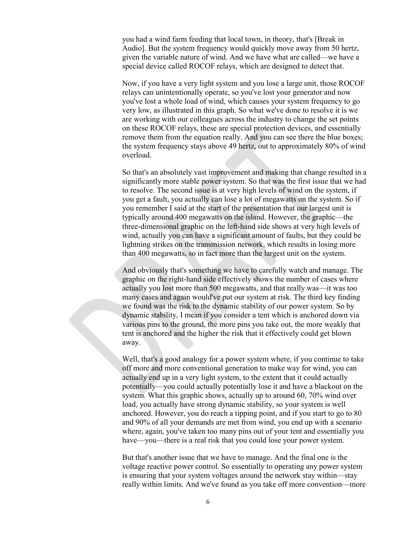you had a wind farm feeding that local town, in theory, that's [Break in Audio]. But the system frequency would quickly move away from 50 hertz, given the variable nature of wind. And we have what are called—we have a special device called ROCOF relays, which are designed to detect that.

Now, if you have a very light system and you lose a large unit, those ROCOF relays can unintentionally operate, so you've lost your generator and now you've lost a whole load of wind, which causes your system frequency to go very low, as illustrated in this graph. So what we've done to resolve it is we are working with our colleagues across the industry to change the set points on these ROCOF relays, these are special protection devices, and essentially remove them from the equation really. And you can see there the blue boxes; the system frequency stays above 49 hertz, out to approximately 80% of wind overload.

So that's an absolutely vast improvement and making that change resulted in a significantly more stable power system. So that was the first issue that we had to resolve. The second issue is at very high levels of wind on the system, if you get a fault, you actually can lose a lot of megawatts on the system. So if you remember I said at the start of the presentation that our largest unit is typically around 400 megawatts on the island. However, the graphic—the three-dimensional graphic on the left-hand side shows at very high levels of wind, actually you can have a significant amount of faults, but they could be lightning strikes on the transmission network, which results in losing more than 400 megawatts, so in fact more than the largest unit on the system.

And obviously that's something we have to carefully watch and manage. The graphic on the right-hand side effectively shows the number of cases where actually you lost more than 500 megawatts, and that really was—it was too many cases and again would've put our system at risk. The third key finding we found was the risk to the dynamic stability of our power system. So by dynamic stability, I mean if you consider a tent which is anchored down via various pins to the ground, the more pins you take out, the more weakly that tent is anchored and the higher the risk that it effectively could get blown away.

Well, that's a good analogy for a power system where, if you continue to take off more and more conventional generation to make way for wind, you can actually end up in a very light system, to the extent that it could actually potentially—you could actually potentially lose it and have a blackout on the system. What this graphic shows, actually up to around 60, 70% wind over load, you actually have strong dynamic stability, so your system is well anchored. However, you do reach a tipping point, and if you start to go to 80 and 90% of all your demands are met from wind, you end up with a scenario where, again, you've taken too many pins out of your tent and essentially you have—you—there is a real risk that you could lose your power system.

But that's another issue that we have to manage. And the final one is the voltage reactive power control. So essentially to operating any power system is ensuring that your system voltages around the network stay within—stay really within limits. And we've found as you take off more convention—more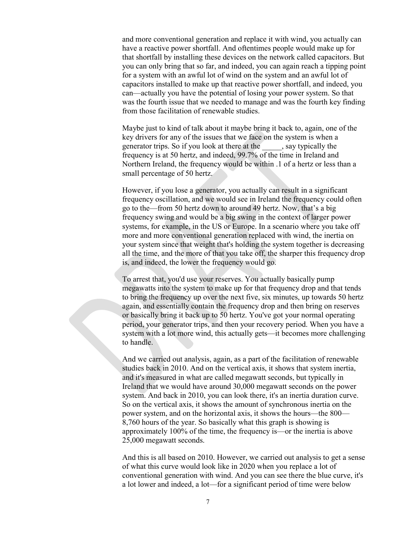and more conventional generation and replace it with wind, you actually can have a reactive power shortfall. And oftentimes people would make up for that shortfall by installing these devices on the network called capacitors. But you can only bring that so far, and indeed, you can again reach a tipping point for a system with an awful lot of wind on the system and an awful lot of capacitors installed to make up that reactive power shortfall, and indeed, you can—actually you have the potential of losing your power system. So that was the fourth issue that we needed to manage and was the fourth key finding from those facilitation of renewable studies.

Maybe just to kind of talk about it maybe bring it back to, again, one of the key drivers for any of the issues that we face on the system is when a generator trips. So if you look at there at the say typically the frequency is at 50 hertz, and indeed, 99.7% of the time in Ireland and Northern Ireland, the frequency would be within .1 of a hertz or less than a small percentage of 50 hertz.

However, if you lose a generator, you actually can result in a significant frequency oscillation, and we would see in Ireland the frequency could often go to the—from 50 hertz down to around 49 hertz. Now, that's a big frequency swing and would be a big swing in the context of larger power systems, for example, in the US or Europe. In a scenario where you take off more and more conventional generation replaced with wind, the inertia on your system since that weight that's holding the system together is decreasing all the time, and the more of that you take off, the sharper this frequency drop is, and indeed, the lower the frequency would go.

To arrest that, you'd use your reserves. You actually basically pump megawatts into the system to make up for that frequency drop and that tends to bring the frequency up over the next five, six minutes, up towards 50 hertz again, and essentially contain the frequency drop and then bring on reserves or basically bring it back up to 50 hertz. You've got your normal operating period, your generator trips, and then your recovery period. When you have a system with a lot more wind, this actually gets—it becomes more challenging to handle.

And we carried out analysis, again, as a part of the facilitation of renewable studies back in 2010. And on the vertical axis, it shows that system inertia, and it's measured in what are called megawatt seconds, but typically in Ireland that we would have around 30,000 megawatt seconds on the power system. And back in 2010, you can look there, it's an inertia duration curve. So on the vertical axis, it shows the amount of synchronous inertia on the power system, and on the horizontal axis, it shows the hours—the 800— 8,760 hours of the year. So basically what this graph is showing is approximately 100% of the time, the frequency is—or the inertia is above 25,000 megawatt seconds.

And this is all based on 2010. However, we carried out analysis to get a sense of what this curve would look like in 2020 when you replace a lot of conventional generation with wind. And you can see there the blue curve, it's a lot lower and indeed, a lot—for a significant period of time were below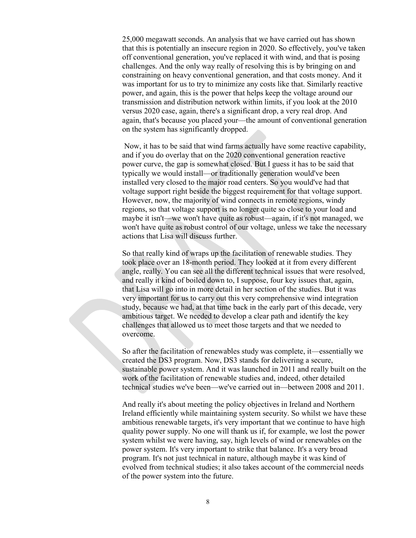25,000 megawatt seconds. An analysis that we have carried out has shown that this is potentially an insecure region in 2020. So effectively, you've taken off conventional generation, you've replaced it with wind, and that is posing challenges. And the only way really of resolving this is by bringing on and constraining on heavy conventional generation, and that costs money. And it was important for us to try to minimize any costs like that. Similarly reactive power, and again, this is the power that helps keep the voltage around our transmission and distribution network within limits, if you look at the 2010 versus 2020 case, again, there's a significant drop, a very real drop. And again, that's because you placed your—the amount of conventional generation on the system has significantly dropped.

Now, it has to be said that wind farms actually have some reactive capability, and if you do overlay that on the 2020 conventional generation reactive power curve, the gap is somewhat closed. But I guess it has to be said that typically we would install—or traditionally generation would've been installed very closed to the major road centers. So you would've had that voltage support right beside the biggest requirement for that voltage support. However, now, the majority of wind connects in remote regions, windy regions, so that voltage support is no longer quite so close to your load and maybe it isn't—we won't have quite as robust—again, if it's not managed, we won't have quite as robust control of our voltage, unless we take the necessary actions that Lisa will discuss further.

So that really kind of wraps up the facilitation of renewable studies. They took place over an 18-month period. They looked at it from every different angle, really. You can see all the different technical issues that were resolved, and really it kind of boiled down to, I suppose, four key issues that, again, that Lisa will go into in more detail in her section of the studies. But it was very important for us to carry out this very comprehensive wind integration study, because we had, at that time back in the early part of this decade, very ambitious target. We needed to develop a clear path and identify the key challenges that allowed us to meet those targets and that we needed to overcome.

So after the facilitation of renewables study was complete, it—essentially we created the DS3 program. Now, DS3 stands for delivering a secure, sustainable power system. And it was launched in 2011 and really built on the work of the facilitation of renewable studies and, indeed, other detailed technical studies we've been—we've carried out in—between 2008 and 2011.

And really it's about meeting the policy objectives in Ireland and Northern Ireland efficiently while maintaining system security. So whilst we have these ambitious renewable targets, it's very important that we continue to have high quality power supply. No one will thank us if, for example, we lost the power system whilst we were having, say, high levels of wind or renewables on the power system. It's very important to strike that balance. It's a very broad program. It's not just technical in nature, although maybe it was kind of evolved from technical studies; it also takes account of the commercial needs of the power system into the future.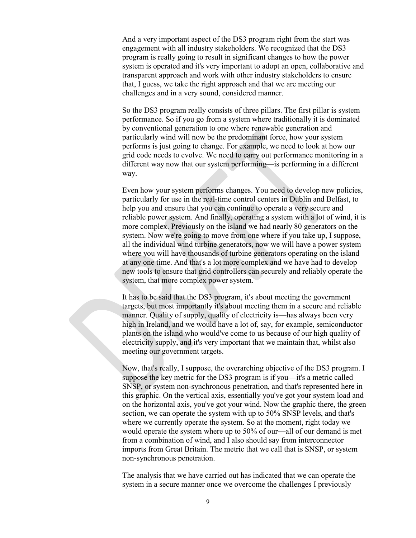And a very important aspect of the DS3 program right from the start was engagement with all industry stakeholders. We recognized that the DS3 program is really going to result in significant changes to how the power system is operated and it's very important to adopt an open, collaborative and transparent approach and work with other industry stakeholders to ensure that, I guess, we take the right approach and that we are meeting our challenges and in a very sound, considered manner.

So the DS3 program really consists of three pillars. The first pillar is system performance. So if you go from a system where traditionally it is dominated by conventional generation to one where renewable generation and particularly wind will now be the predominant force, how your system performs is just going to change. For example, we need to look at how our grid code needs to evolve. We need to carry out performance monitoring in a different way now that our system performing—is performing in a different way.

Even how your system performs changes. You need to develop new policies, particularly for use in the real-time control centers in Dublin and Belfast, to help you and ensure that you can continue to operate a very secure and reliable power system. And finally, operating a system with a lot of wind, it is more complex. Previously on the island we had nearly 80 generators on the system. Now we're going to move from one where if you take up, I suppose, all the individual wind turbine generators, now we will have a power system where you will have thousands of turbine generators operating on the island at any one time. And that's a lot more complex and we have had to develop new tools to ensure that grid controllers can securely and reliably operate the system, that more complex power system.

It has to be said that the DS3 program, it's about meeting the government targets, but most importantly it's about meeting them in a secure and reliable manner. Quality of supply, quality of electricity is—has always been very high in Ireland, and we would have a lot of, say, for example, semiconductor plants on the island who would've come to us because of our high quality of electricity supply, and it's very important that we maintain that, whilst also meeting our government targets.

Now, that's really, I suppose, the overarching objective of the DS3 program. I suppose the key metric for the DS3 program is if you—it's a metric called SNSP, or system non-synchronous penetration, and that's represented here in this graphic. On the vertical axis, essentially you've got your system load and on the horizontal axis, you've got your wind. Now the graphic there, the green section, we can operate the system with up to 50% SNSP levels, and that's where we currently operate the system. So at the moment, right today we would operate the system where up to 50% of our—all of our demand is met from a combination of wind, and I also should say from interconnector imports from Great Britain. The metric that we call that is SNSP, or system non-synchronous penetration.

The analysis that we have carried out has indicated that we can operate the system in a secure manner once we overcome the challenges I previously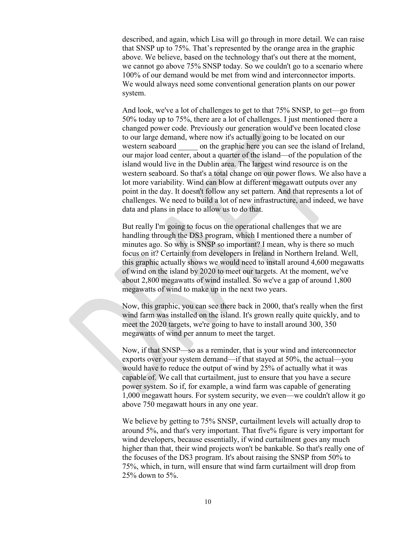described, and again, which Lisa will go through in more detail. We can raise that SNSP up to 75%. That's represented by the orange area in the graphic above. We believe, based on the technology that's out there at the moment, we cannot go above 75% SNSP today. So we couldn't go to a scenario where 100% of our demand would be met from wind and interconnector imports. We would always need some conventional generation plants on our power system.

And look, we've a lot of challenges to get to that 75% SNSP, to get—go from 50% today up to 75%, there are a lot of challenges. I just mentioned there a changed power code. Previously our generation would've been located close to our large demand, where now it's actually going to be located on our western seaboard on the graphic here you can see the island of Ireland, our major load center, about a quarter of the island—of the population of the island would live in the Dublin area. The largest wind resource is on the western seaboard. So that's a total change on our power flows. We also have a lot more variability. Wind can blow at different megawatt outputs over any point in the day. It doesn't follow any set pattern. And that represents a lot of challenges. We need to build a lot of new infrastructure, and indeed, we have data and plans in place to allow us to do that.

But really I'm going to focus on the operational challenges that we are handling through the DS3 program, which I mentioned there a number of minutes ago. So why is SNSP so important? I mean, why is there so much focus on it? Certainly from developers in Ireland in Northern Ireland. Well, this graphic actually shows we would need to install around 4,600 megawatts of wind on the island by 2020 to meet our targets. At the moment, we've about 2,800 megawatts of wind installed. So we've a gap of around 1,800 megawatts of wind to make up in the next two years.

Now, this graphic, you can see there back in 2000, that's really when the first wind farm was installed on the island. It's grown really quite quickly, and to meet the 2020 targets, we're going to have to install around 300, 350 megawatts of wind per annum to meet the target.

Now, if that SNSP—so as a reminder, that is your wind and interconnector exports over your system demand—if that stayed at 50%, the actual—you would have to reduce the output of wind by 25% of actually what it was capable of. We call that curtailment, just to ensure that you have a secure power system. So if, for example, a wind farm was capable of generating 1,000 megawatt hours. For system security, we even—we couldn't allow it go above 750 megawatt hours in any one year.

We believe by getting to 75% SNSP, curtailment levels will actually drop to around 5%, and that's very important. That five% figure is very important for wind developers, because essentially, if wind curtailment goes any much higher than that, their wind projects won't be bankable. So that's really one of the focuses of the DS3 program. It's about raising the SNSP from 50% to 75%, which, in turn, will ensure that wind farm curtailment will drop from 25% down to 5%.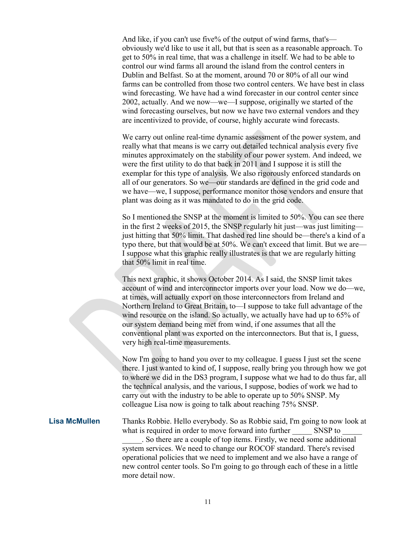And like, if you can't use five% of the output of wind farms, that's obviously we'd like to use it all, but that is seen as a reasonable approach. To get to 50% in real time, that was a challenge in itself. We had to be able to control our wind farms all around the island from the control centers in Dublin and Belfast. So at the moment, around 70 or 80% of all our wind farms can be controlled from those two control centers. We have best in class wind forecasting. We have had a wind forecaster in our control center since 2002, actually. And we now—we—I suppose, originally we started of the wind forecasting ourselves, but now we have two external vendors and they are incentivized to provide, of course, highly accurate wind forecasts.

We carry out online real-time dynamic assessment of the power system, and really what that means is we carry out detailed technical analysis every five minutes approximately on the stability of our power system. And indeed, we were the first utility to do that back in 2011 and I suppose it is still the exemplar for this type of analysis. We also rigorously enforced standards on all of our generators. So we—our standards are defined in the grid code and we have—we, I suppose, performance monitor those vendors and ensure that plant was doing as it was mandated to do in the grid code.

So I mentioned the SNSP at the moment is limited to 50%. You can see there in the first 2 weeks of 2015, the SNSP regularly hit just—was just limiting just hitting that 50% limit. That dashed red line should be—there's a kind of a typo there, but that would be at 50%. We can't exceed that limit. But we are— I suppose what this graphic really illustrates is that we are regularly hitting that 50% limit in real time.

This next graphic, it shows October 2014. As I said, the SNSP limit takes account of wind and interconnector imports over your load. Now we do—we, at times, will actually export on those interconnectors from Ireland and Northern Ireland to Great Britain, to—I suppose to take full advantage of the wind resource on the island. So actually, we actually have had up to 65% of our system demand being met from wind, if one assumes that all the conventional plant was exported on the interconnectors. But that is, I guess, very high real-time measurements.

Now I'm going to hand you over to my colleague. I guess I just set the scene there. I just wanted to kind of, I suppose, really bring you through how we got to where we did in the DS3 program, I suppose what we had to do thus far, all the technical analysis, and the various, I suppose, bodies of work we had to carry out with the industry to be able to operate up to 50% SNSP. My colleague Lisa now is going to talk about reaching 75% SNSP.

**Lisa McMullen** Thanks Robbie. Hello everybody. So as Robbie said, I'm going to now look at what is required in order to move forward into further SNSP to \_\_\_\_\_. So there are a couple of top items. Firstly, we need some additional system services. We need to change our ROCOF standard. There's revised operational policies that we need to implement and we also have a range of new control center tools. So I'm going to go through each of these in a little more detail now.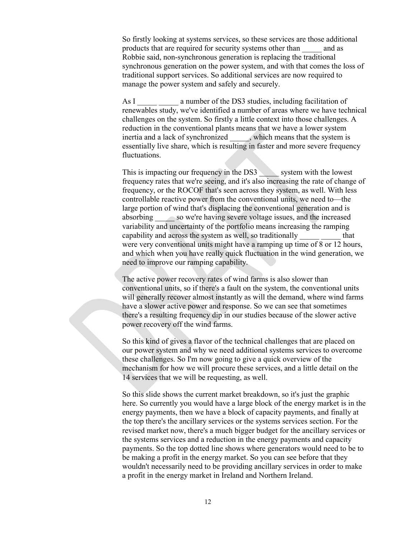So firstly looking at systems services, so these services are those additional products that are required for security systems other than \_\_\_\_\_ and as Robbie said, non-synchronous generation is replacing the traditional synchronous generation on the power system, and with that comes the loss of traditional support services. So additional services are now required to manage the power system and safely and securely.

As I a number of the DS3 studies, including facilitation of renewables study, we've identified a number of areas where we have technical challenges on the system. So firstly a little context into those challenges. A reduction in the conventional plants means that we have a lower system inertia and a lack of synchronized , which means that the system is essentially live share, which is resulting in faster and more severe frequency fluctuations.

This is impacting our frequency in the DS3 system with the lowest frequency rates that we're seeing, and it's also increasing the rate of change of frequency, or the ROCOF that's seen across they system, as well. With less controllable reactive power from the conventional units, we need to—the large portion of wind that's displacing the conventional generation and is absorbing \_\_\_\_\_ so we're having severe voltage issues, and the increased variability and uncertainty of the portfolio means increasing the ramping capability and across the system as well, so traditionally that were very conventional units might have a ramping up time of 8 or 12 hours, and which when you have really quick fluctuation in the wind generation, we need to improve our ramping capability.

The active power recovery rates of wind farms is also slower than conventional units, so if there's a fault on the system, the conventional units will generally recover almost instantly as will the demand, where wind farms have a slower active power and response. So we can see that sometimes there's a resulting frequency dip in our studies because of the slower active power recovery off the wind farms.

So this kind of gives a flavor of the technical challenges that are placed on our power system and why we need additional systems services to overcome these challenges. So I'm now going to give a quick overview of the mechanism for how we will procure these services, and a little detail on the 14 services that we will be requesting, as well.

So this slide shows the current market breakdown, so it's just the graphic here. So currently you would have a large block of the energy market is in the energy payments, then we have a block of capacity payments, and finally at the top there's the ancillary services or the systems services section. For the revised market now, there's a much bigger budget for the ancillary services or the systems services and a reduction in the energy payments and capacity payments. So the top dotted line shows where generators would need to be to be making a profit in the energy market. So you can see before that they wouldn't necessarily need to be providing ancillary services in order to make a profit in the energy market in Ireland and Northern Ireland.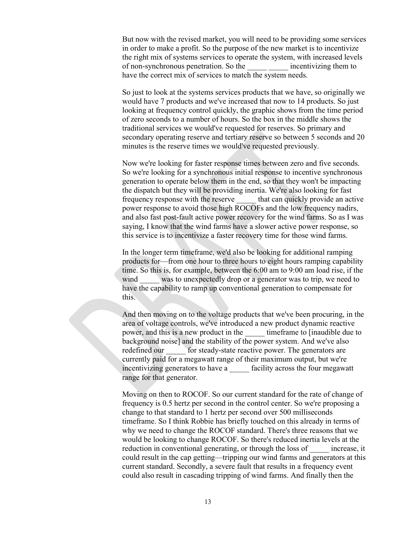But now with the revised market, you will need to be providing some services in order to make a profit. So the purpose of the new market is to incentivize the right mix of systems services to operate the system, with increased levels of non-synchronous penetration. So the incentivizing them to have the correct mix of services to match the system needs.

So just to look at the systems services products that we have, so originally we would have 7 products and we've increased that now to 14 products. So just looking at frequency control quickly, the graphic shows from the time period of zero seconds to a number of hours. So the box in the middle shows the traditional services we would've requested for reserves. So primary and secondary operating reserve and tertiary reserve so between 5 seconds and 20 minutes is the reserve times we would've requested previously.

Now we're looking for faster response times between zero and five seconds. So we're looking for a synchronous initial response to incentive synchronous generation to operate below them in the end, so that they won't be impacting the dispatch but they will be providing inertia. We're also looking for fast frequency response with the reserve that can quickly provide an active power response to avoid those high ROCOFs and the low frequency nadirs, and also fast post-fault active power recovery for the wind farms. So as I was saying, I know that the wind farms have a slower active power response, so this service is to incentivize a faster recovery time for those wind farms.

In the longer term timeframe, we'd also be looking for additional ramping products for—from one hour to three hours to eight hours ramping capability time. So this is, for example, between the 6:00 am to 9:00 am load rise, if the wind was to unexpectedly drop or a generator was to trip, we need to have the capability to ramp up conventional generation to compensate for this.

And then moving on to the voltage products that we've been procuring, in the area of voltage controls, we've introduced a new product dynamic reactive power, and this is a new product in the timeframe to [inaudible due to background noise] and the stability of the power system. And we've also redefined our for steady-state reactive power. The generators are currently paid for a megawatt range of their maximum output, but we're incentivizing generators to have a set facility across the four megawatt range for that generator.

Moving on then to ROCOF. So our current standard for the rate of change of frequency is 0.5 hertz per second in the control center. So we're proposing a change to that standard to 1 hertz per second over 500 milliseconds timeframe. So I think Robbie has briefly touched on this already in terms of why we need to change the ROCOF standard. There's three reasons that we would be looking to change ROCOF. So there's reduced inertia levels at the reduction in conventional generating, or through the loss of \_\_\_\_\_\_ increase, it could result in the cap getting—tripping our wind farms and generators at this current standard. Secondly, a severe fault that results in a frequency event could also result in cascading tripping of wind farms. And finally then the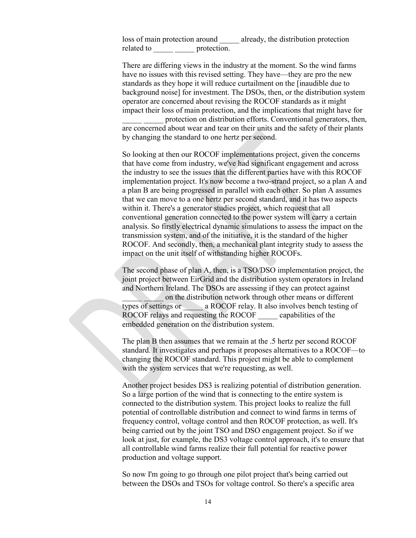loss of main protection around already, the distribution protection related to \_\_\_\_\_\_ \_\_\_\_\_\_\_ protection.

There are differing views in the industry at the moment. So the wind farms have no issues with this revised setting. They have—they are pro the new standards as they hope it will reduce curtailment on the [inaudible due to background noise] for investment. The DSOs, then, or the distribution system operator are concerned about revising the ROCOF standards as it might impact their loss of main protection, and the implications that might have for protection on distribution efforts. Conventional generators, then,

are concerned about wear and tear on their units and the safety of their plants by changing the standard to one hertz per second.

So looking at then our ROCOF implementations project, given the concerns that have come from industry, we've had significant engagement and across the industry to see the issues that the different parties have with this ROCOF implementation project. It's now become a two-strand project, so a plan A and a plan B are being progressed in parallel with each other. So plan A assumes that we can move to a one hertz per second standard, and it has two aspects within it. There's a generator studies project, which request that all conventional generation connected to the power system will carry a certain analysis. So firstly electrical dynamic simulations to assess the impact on the transmission system, and of the initiative, it is the standard of the higher ROCOF. And secondly, then, a mechanical plant integrity study to assess the impact on the unit itself of withstanding higher ROCOFs.

The second phase of plan A, then, is a TSO/DSO implementation project, the joint project between EirGrid and the distribution system operators in Ireland and Northern Ireland. The DSOs are assessing if they can protect against \_\_\_\_\_ \_\_\_\_\_ on the distribution network through other means or different types of settings or a ROCOF relay. It also involves bench testing of ROCOF relays and requesting the ROCOF capabilities of the embedded generation on the distribution system.

The plan B then assumes that we remain at the .5 hertz per second ROCOF standard. It investigates and perhaps it proposes alternatives to a ROCOF—to changing the ROCOF standard. This project might be able to complement with the system services that we're requesting, as well.

Another project besides DS3 is realizing potential of distribution generation. So a large portion of the wind that is connecting to the entire system is connected to the distribution system. This project looks to realize the full potential of controllable distribution and connect to wind farms in terms of frequency control, voltage control and then ROCOF protection, as well. It's being carried out by the joint TSO and DSO engagement project. So if we look at just, for example, the DS3 voltage control approach, it's to ensure that all controllable wind farms realize their full potential for reactive power production and voltage support.

So now I'm going to go through one pilot project that's being carried out between the DSOs and TSOs for voltage control. So there's a specific area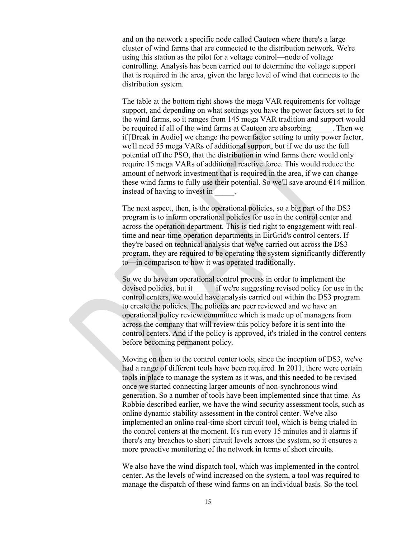and on the network a specific node called Cauteen where there's a large cluster of wind farms that are connected to the distribution network. We're using this station as the pilot for a voltage control—node of voltage controlling. Analysis has been carried out to determine the voltage support that is required in the area, given the large level of wind that connects to the distribution system.

The table at the bottom right shows the mega VAR requirements for voltage support, and depending on what settings you have the power factors set to for the wind farms, so it ranges from 145 mega VAR tradition and support would be required if all of the wind farms at Cauteen are absorbing Then we if [Break in Audio] we change the power factor setting to unity power factor, we'll need 55 mega VARs of additional support, but if we do use the full potential off the PSO, that the distribution in wind farms there would only require 15 mega VARs of additional reactive force. This would reduce the amount of network investment that is required in the area, if we can change these wind farms to fully use their potential. So we'll save around  $\epsilon$ 14 million instead of having to invest in \_\_\_\_\_.

The next aspect, then, is the operational policies, so a big part of the DS3 program is to inform operational policies for use in the control center and across the operation department. This is tied right to engagement with realtime and near-time operation departments in EirGrid's control centers. If they're based on technical analysis that we've carried out across the DS3 program, they are required to be operating the system significantly differently to—in comparison to how it was operated traditionally.

So we do have an operational control process in order to implement the devised policies, but it if we're suggesting revised policy for use in the control centers, we would have analysis carried out within the DS3 program to create the policies. The policies are peer reviewed and we have an operational policy review committee which is made up of managers from across the company that will review this policy before it is sent into the control centers. And if the policy is approved, it's trialed in the control centers before becoming permanent policy.

Moving on then to the control center tools, since the inception of DS3, we've had a range of different tools have been required. In 2011, there were certain tools in place to manage the system as it was, and this needed to be revised once we started connecting larger amounts of non-synchronous wind generation. So a number of tools have been implemented since that time. As Robbie described earlier, we have the wind security assessment tools, such as online dynamic stability assessment in the control center. We've also implemented an online real-time short circuit tool, which is being trialed in the control centers at the moment. It's run every 15 minutes and it alarms if there's any breaches to short circuit levels across the system, so it ensures a more proactive monitoring of the network in terms of short circuits.

We also have the wind dispatch tool, which was implemented in the control center. As the levels of wind increased on the system, a tool was required to manage the dispatch of these wind farms on an individual basis. So the tool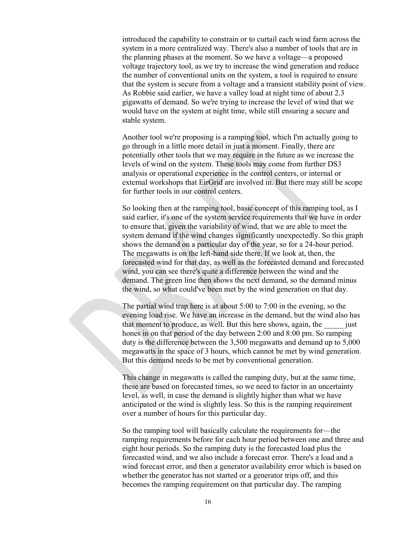introduced the capability to constrain or to curtail each wind farm across the system in a more centralized way. There's also a number of tools that are in the planning phases at the moment. So we have a voltage—a proposed voltage trajectory tool, as we try to increase the wind generation and reduce the number of conventional units on the system, a tool is required to ensure that the system is secure from a voltage and a transient stability point of view. As Robbie said earlier, we have a valley load at night time of about 2.3 gigawatts of demand. So we're trying to increase the level of wind that we would have on the system at night time, while still ensuring a secure and stable system.

Another tool we're proposing is a ramping tool, which I'm actually going to go through in a little more detail in just a moment. Finally, there are potentially other tools that we may require in the future as we increase the levels of wind on the system. These tools may come from further DS3 analysis or operational experience in the control centers, or internal or external workshops that EirGrid are involved in. But there may still be scope for further tools in our control centers.

So looking then at the ramping tool, basic concept of this ramping tool, as I said earlier, it's one of the system service requirements that we have in order to ensure that, given the variability of wind, that we are able to meet the system demand if the wind changes significantly unexpectedly. So this graph shows the demand on a particular day of the year, so for a 24-hour period. The megawatts is on the left-hand side there. If we look at, then, the forecasted wind for that day, as well as the forecasted demand and forecasted wind, you can see there's quite a difference between the wind and the demand. The green line then shows the next demand, so the demand minus the wind, so what could've been met by the wind generation on that day.

The partial wind trap here is at about 5:00 to 7:00 in the evening, so the evening load rise. We have an increase in the demand, but the wind also has that moment to produce, as well. But this here shows, again, the *just* hones in on that period of the day between 2:00 and 8:00 pm. So ramping duty is the difference between the 3,500 megawatts and demand up to 5,000 megawatts in the space of 3 hours, which cannot be met by wind generation. But this demand needs to be met by conventional generation.

This change in megawatts is called the ramping duty, but at the same time, these are based on forecasted times, so we need to factor in an uncertainty level, as well, in case the demand is slightly higher than what we have anticipated or the wind is slightly less. So this is the ramping requirement over a number of hours for this particular day.

So the ramping tool will basically calculate the requirements for—the ramping requirements before for each hour period between one and three and eight hour periods. So the ramping duty is the forecasted load plus the forecasted wind, and we also include a forecast error. There's a load and a wind forecast error, and then a generator availability error which is based on whether the generator has not started or a generator trips off, and this becomes the ramping requirement on that particular day. The ramping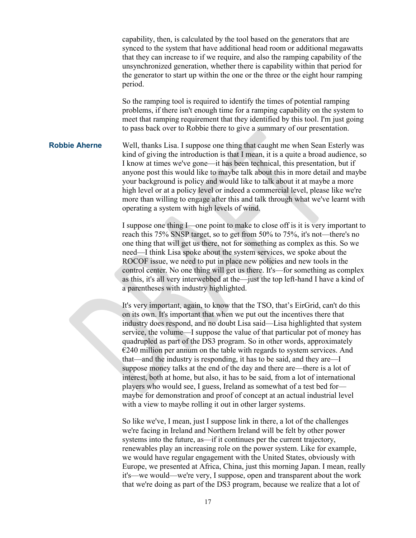capability, then, is calculated by the tool based on the generators that are synced to the system that have additional head room or additional megawatts that they can increase to if we require, and also the ramping capability of the unsynchronized generation, whether there is capability within that period for the generator to start up within the one or the three or the eight hour ramping period.

So the ramping tool is required to identify the times of potential ramping problems, if there isn't enough time for a ramping capability on the system to meet that ramping requirement that they identified by this tool. I'm just going to pass back over to Robbie there to give a summary of our presentation.

**Robbie Aherne** Well, thanks Lisa. I suppose one thing that caught me when Sean Esterly was kind of giving the introduction is that I mean, it is a quite a broad audience, so I know at times we've gone—it has been technical, this presentation, but if anyone post this would like to maybe talk about this in more detail and maybe your background is policy and would like to talk about it at maybe a more high level or at a policy level or indeed a commercial level, please like we're more than willing to engage after this and talk through what we've learnt with operating a system with high levels of wind.

> I suppose one thing I—one point to make to close off is it is very important to reach this 75% SNSP target, so to get from 50% to 75%, it's not—there's no one thing that will get us there, not for something as complex as this. So we need—I think Lisa spoke about the system services, we spoke about the ROCOF issue, we need to put in place new policies and new tools in the control center. No one thing will get us there. It's—for something as complex as this, it's all very interwebbed at the—just the top left-hand I have a kind of a parentheses with industry highlighted.

It's very important, again, to know that the TSO, that's EirGrid, can't do this on its own. It's important that when we put out the incentives there that industry does respond, and no doubt Lisa said—Lisa highlighted that system service, the volume—I suppose the value of that particular pot of money has quadrupled as part of the DS3 program. So in other words, approximately  $E$  = 240 million per annum on the table with regards to system services. And that—and the industry is responding, it has to be said, and they are—I suppose money talks at the end of the day and there are—there is a lot of interest, both at home, but also, it has to be said, from a lot of international players who would see, I guess, Ireland as somewhat of a test bed for maybe for demonstration and proof of concept at an actual industrial level with a view to maybe rolling it out in other larger systems.

So like we've, I mean, just I suppose link in there, a lot of the challenges we're facing in Ireland and Northern Ireland will be felt by other power systems into the future, as—if it continues per the current trajectory, renewables play an increasing role on the power system. Like for example, we would have regular engagement with the United States, obviously with Europe, we presented at Africa, China, just this morning Japan. I mean, really it's—we would—we're very, I suppose, open and transparent about the work that we're doing as part of the DS3 program, because we realize that a lot of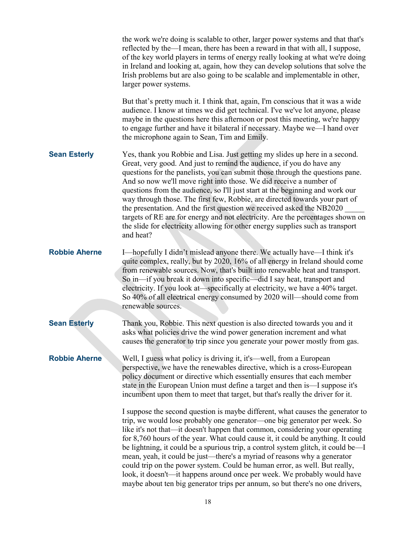|                      | the work we're doing is scalable to other, larger power systems and that that's<br>reflected by the—I mean, there has been a reward in that with all, I suppose,<br>of the key world players in terms of energy really looking at what we're doing<br>in Ireland and looking at, again, how they can develop solutions that solve the<br>Irish problems but are also going to be scalable and implementable in other,<br>larger power systems.                                                                                                                                                                                                                                                                                              |
|----------------------|---------------------------------------------------------------------------------------------------------------------------------------------------------------------------------------------------------------------------------------------------------------------------------------------------------------------------------------------------------------------------------------------------------------------------------------------------------------------------------------------------------------------------------------------------------------------------------------------------------------------------------------------------------------------------------------------------------------------------------------------|
|                      | But that's pretty much it. I think that, again, I'm conscious that it was a wide<br>audience. I know at times we did get technical. I've we've lot anyone, please<br>maybe in the questions here this afternoon or post this meeting, we're happy<br>to engage further and have it bilateral if necessary. Maybe we-I hand over<br>the microphone again to Sean, Tim and Emily.                                                                                                                                                                                                                                                                                                                                                             |
| <b>Sean Esterly</b>  | Yes, thank you Robbie and Lisa. Just getting my slides up here in a second.<br>Great, very good. And just to remind the audience, if you do have any<br>questions for the panelists, you can submit those through the questions pane.<br>And so now we'll move right into those. We did receive a number of<br>questions from the audience, so I'll just start at the beginning and work our<br>way through those. The first few, Robbie, are directed towards your part of<br>the presentation. And the first question we received asked the NB2020<br>targets of RE are for energy and not electricity. Are the percentages shown on<br>the slide for electricity allowing for other energy supplies such as transport<br>and heat?       |
| <b>Robbie Aherne</b> | I-hopefully I didn't mislead anyone there. We actually have—I think it's<br>quite complex, really, but by 2020, 16% of all energy in Ireland should come<br>from renewable sources. Now, that's built into renewable heat and transport.<br>So in—if you break it down into specific—did I say heat, transport and<br>electricity. If you look at—specifically at electricity, we have a 40% target.<br>So 40% of all electrical energy consumed by 2020 will—should come from<br>renewable sources.                                                                                                                                                                                                                                        |
| <b>Sean Esterly</b>  | Thank you, Robbie. This next question is also directed towards you and it<br>asks what policies drive the wind power generation increment and what<br>causes the generator to trip since you generate your power mostly from gas.                                                                                                                                                                                                                                                                                                                                                                                                                                                                                                           |
| <b>Robbie Aherne</b> | Well, I guess what policy is driving it, it's—well, from a European<br>perspective, we have the renewables directive, which is a cross-European<br>policy document or directive which essentially ensures that each member<br>state in the European Union must define a target and then is—I suppose it's<br>incumbent upon them to meet that target, but that's really the driver for it.                                                                                                                                                                                                                                                                                                                                                  |
|                      | I suppose the second question is maybe different, what causes the generator to<br>trip, we would lose probably one generator—one big generator per week. So<br>like it's not that—it doesn't happen that common, considering your operating<br>for 8,760 hours of the year. What could cause it, it could be anything. It could<br>be lightning, it could be a spurious trip, a control system glitch, it could be—I<br>mean, yeah, it could be just—there's a myriad of reasons why a generator<br>could trip on the power system. Could be human error, as well. But really,<br>look, it doesn't—it happens around once per week. We probably would have<br>maybe about ten big generator trips per annum, so but there's no one drivers, |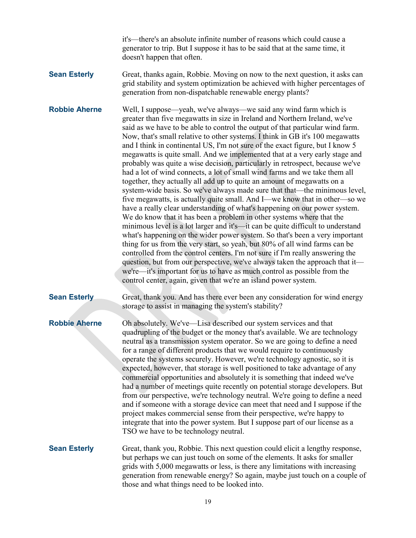it's—there's an absolute infinite number of reasons which could cause a generator to trip. But I suppose it has to be said that at the same time, it doesn't happen that often.

**Sean Esterly** Great, thanks again, Robbie. Moving on now to the next question, it asks can grid stability and system optimization be achieved with higher percentages of generation from non-dispatchable renewable energy plants?

**Robbie Aherne** Well, I suppose—yeah, we've always—we said any wind farm which is greater than five megawatts in size in Ireland and Northern Ireland, we've said as we have to be able to control the output of that particular wind farm. Now, that's small relative to other systems. I think in GB it's 100 megawatts and I think in continental US, I'm not sure of the exact figure, but I know 5 megawatts is quite small. And we implemented that at a very early stage and probably was quite a wise decision, particularly in retrospect, because we've had a lot of wind connects, a lot of small wind farms and we take them all together, they actually all add up to quite an amount of megawatts on a system-wide basis. So we've always made sure that that—the minimous level, five megawatts, is actually quite small. And I—we know that in other—so we have a really clear understanding of what's happening on our power system. We do know that it has been a problem in other systems where that the minimous level is a lot larger and it's—it can be quite difficult to understand what's happening on the wider power system. So that's been a very important thing for us from the very start, so yeah, but 80% of all wind farms can be controlled from the control centers. I'm not sure if I'm really answering the question, but from our perspective, we've always taken the approach that it we're—it's important for us to have as much control as possible from the control center, again, given that we're an island power system.

## **Sean Esterly** Great, thank you. And has there ever been any consideration for wind energy storage to assist in managing the system's stability?

**Robbie Aherne** Oh absolutely. We've—Lisa described our system services and that quadrupling of the budget or the money that's available. We are technology neutral as a transmission system operator. So we are going to define a need for a range of different products that we would require to continuously operate the systems securely. However, we're technology agnostic, so it is expected, however, that storage is well positioned to take advantage of any commercial opportunities and absolutely it is something that indeed we've had a number of meetings quite recently on potential storage developers. But from our perspective, we're technology neutral. We're going to define a need and if someone with a storage device can meet that need and I suppose if the project makes commercial sense from their perspective, we're happy to integrate that into the power system. But I suppose part of our license as a TSO we have to be technology neutral.

**Sean Esterly** Great, thank you, Robbie. This next question could elicit a lengthy response, but perhaps we can just touch on some of the elements. It asks for smaller grids with 5,000 megawatts or less, is there any limitations with increasing generation from renewable energy? So again, maybe just touch on a couple of those and what things need to be looked into.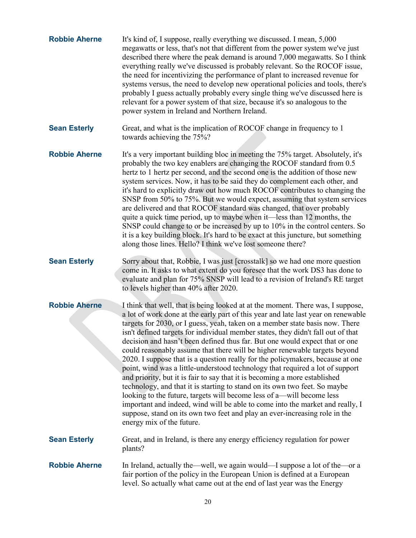| <b>Robbie Aherne</b> | It's kind of, I suppose, really everything we discussed. I mean, 5,000<br>megawatts or less, that's not that different from the power system we've just<br>described there where the peak demand is around 7,000 megawatts. So I think<br>everything really we've discussed is probably relevant. So the ROCOF issue,<br>the need for incentivizing the performance of plant to increased revenue for<br>systems versus, the need to develop new operational policies and tools, there's<br>probably I guess actually probably every single thing we've discussed here is<br>relevant for a power system of that size, because it's so analogous to the<br>power system in Ireland and Northern Ireland.                                                                                                                                                                                                                                                                                                                                                                                                  |
|----------------------|-----------------------------------------------------------------------------------------------------------------------------------------------------------------------------------------------------------------------------------------------------------------------------------------------------------------------------------------------------------------------------------------------------------------------------------------------------------------------------------------------------------------------------------------------------------------------------------------------------------------------------------------------------------------------------------------------------------------------------------------------------------------------------------------------------------------------------------------------------------------------------------------------------------------------------------------------------------------------------------------------------------------------------------------------------------------------------------------------------------|
| <b>Sean Esterly</b>  | Great, and what is the implication of ROCOF change in frequency to 1<br>towards achieving the 75%?                                                                                                                                                                                                                                                                                                                                                                                                                                                                                                                                                                                                                                                                                                                                                                                                                                                                                                                                                                                                        |
| <b>Robbie Aherne</b> | It's a very important building bloc in meeting the 75% target. Absolutely, it's<br>probably the two key enablers are changing the ROCOF standard from 0.5<br>hertz to 1 hertz per second, and the second one is the addition of those new<br>system services. Now, it has to be said they do complement each other, and<br>it's hard to explicitly draw out how much ROCOF contributes to changing the<br>SNSP from 50% to 75%. But we would expect, assuming that system services<br>are delivered and that ROCOF standard was changed, that over probably<br>quite a quick time period, up to maybe when it—less than 12 months, the<br>SNSP could change to or be increased by up to 10% in the control centers. So<br>it is a key building block. It's hard to be exact at this juncture, but something<br>along those lines. Hello? I think we've lost someone there?                                                                                                                                                                                                                                |
| <b>Sean Esterly</b>  | Sorry about that, Robbie, I was just [crosstalk] so we had one more question<br>come in. It asks to what extent do you foresee that the work DS3 has done to<br>evaluate and plan for 75% SNSP will lead to a revision of Ireland's RE target<br>to levels higher than 40% after 2020.                                                                                                                                                                                                                                                                                                                                                                                                                                                                                                                                                                                                                                                                                                                                                                                                                    |
| <b>Robbie Aherne</b> | I think that well, that is being looked at at the moment. There was, I suppose,<br>a lot of work done at the early part of this year and late last year on renewable<br>targets for 2030, or I guess, yeah, taken on a member state basis now. There<br>isn't defined targets for individual member states, they didn't fall out of that<br>decision and hasn't been defined thus far. But one would expect that or one<br>could reasonably assume that there will be higher renewable targets beyond<br>2020. I suppose that is a question really for the policymakers, because at one<br>point, wind was a little-understood technology that required a lot of support<br>and priority, but it is fair to say that it is becoming a more established<br>technology, and that it is starting to stand on its own two feet. So maybe<br>looking to the future, targets will become less of a—will become less<br>important and indeed, wind will be able to come into the market and really, I<br>suppose, stand on its own two feet and play an ever-increasing role in the<br>energy mix of the future. |
| <b>Sean Esterly</b>  | Great, and in Ireland, is there any energy efficiency regulation for power<br>plants?                                                                                                                                                                                                                                                                                                                                                                                                                                                                                                                                                                                                                                                                                                                                                                                                                                                                                                                                                                                                                     |
| <b>Robbie Aherne</b> | In Ireland, actually the—well, we again would—I suppose a lot of the—or a<br>fair portion of the policy in the European Union is defined at a European<br>level. So actually what came out at the end of last year was the Energy                                                                                                                                                                                                                                                                                                                                                                                                                                                                                                                                                                                                                                                                                                                                                                                                                                                                         |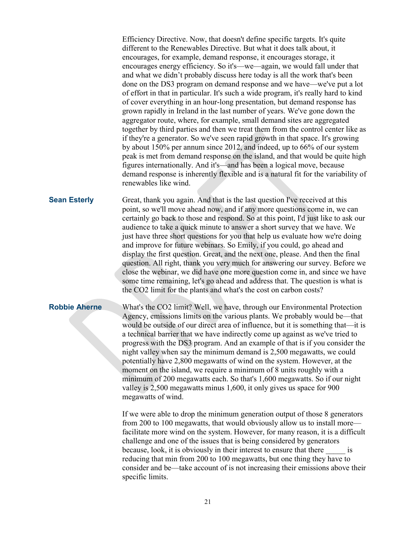Efficiency Directive. Now, that doesn't define specific targets. It's quite different to the Renewables Directive. But what it does talk about, it encourages, for example, demand response, it encourages storage, it encourages energy efficiency. So it's—we—again, we would fall under that and what we didn't probably discuss here today is all the work that's been done on the DS3 program on demand response and we have—we've put a lot of effort in that in particular. It's such a wide program, it's really hard to kind of cover everything in an hour-long presentation, but demand response has grown rapidly in Ireland in the last number of years. We've gone down the aggregator route, where, for example, small demand sites are aggregated together by third parties and then we treat them from the control center like as if they're a generator. So we've seen rapid growth in that space. It's growing by about 150% per annum since 2012, and indeed, up to 66% of our system peak is met from demand response on the island, and that would be quite high figures internationally. And it's—and has been a logical move, because demand response is inherently flexible and is a natural fit for the variability of renewables like wind.

**Sean Esterly** Great, thank you again. And that is the last question I've received at this point, so we'll move ahead now, and if any more questions come in, we can certainly go back to those and respond. So at this point, I'd just like to ask our audience to take a quick minute to answer a short survey that we have. We just have three short questions for you that help us evaluate how we're doing and improve for future webinars. So Emily, if you could, go ahead and display the first question. Great, and the next one, please. And then the final question. All right, thank you very much for answering our survey. Before we close the webinar, we did have one more question come in, and since we have some time remaining, let's go ahead and address that. The question is what is the CO2 limit for the plants and what's the cost on carbon costs?

**Robbie Aherne** What's the CO2 limit? Well, we have, through our Environmental Protection Agency, emissions limits on the various plants. We probably would be—that would be outside of our direct area of influence, but it is something that—it is a technical barrier that we have indirectly come up against as we've tried to progress with the DS3 program. And an example of that is if you consider the night valley when say the minimum demand is 2,500 megawatts, we could potentially have 2,800 megawatts of wind on the system. However, at the moment on the island, we require a minimum of 8 units roughly with a minimum of 200 megawatts each. So that's 1,600 megawatts. So if our night valley is 2,500 megawatts minus 1,600, it only gives us space for 900 megawatts of wind.

> If we were able to drop the minimum generation output of those 8 generators from 200 to 100 megawatts, that would obviously allow us to install more facilitate more wind on the system. However, for many reason, it is a difficult challenge and one of the issues that is being considered by generators because, look, it is obviously in their interest to ensure that there is reducing that min from 200 to 100 megawatts, but one thing they have to consider and be—take account of is not increasing their emissions above their specific limits.